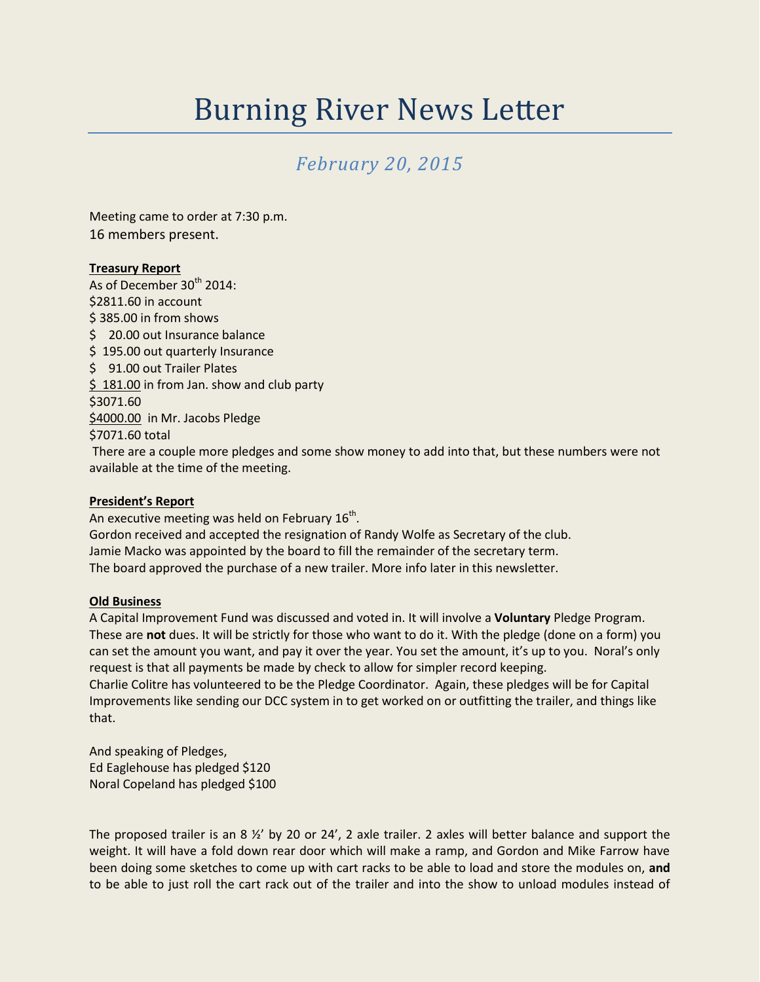# Burning River News Letter

# *February 20, 2015*

Meeting came to order at 7:30 p.m. 16 members present.

# **Treasury Report**

As of December  $30<sup>th</sup>$  2014: \$2811.60 in account \$ 385.00 in from shows \$ 20.00 out Insurance balance \$195.00 out quarterly Insurance \$ 91.00 out Trailer Plates \$181.00 in from Jan. show and club party \$3071.60 \$4000.00 in Mr. Jacobs Pledge \$7071.60 total

There are a couple more pledges and some show money to add into that, but these numbers were not available at the time of the meeting.

#### **President's Report**

An executive meeting was held on February 16<sup>th</sup>. Gordon received and accepted the resignation of Randy Wolfe as Secretary of the club. Jamie Macko was appointed by the board to fill the remainder of the secretary term. The board approved the purchase of a new trailer. More info later in this newsletter.

#### **Old Business**

A Capital Improvement Fund was discussed and voted in. It will involve a **Voluntary** Pledge Program. These are **not** dues. It will be strictly for those who want to do it. With the pledge (done on a form) you can set the amount you want, and pay it over the year. You set the amount, it's up to you. Noral's only request is that all payments be made by check to allow for simpler record keeping. Charlie Colitre has volunteered to be the Pledge Coordinator. Again, these pledges will be for Capital Improvements like sending our DCC system in to get worked on or outfitting the trailer, and things like

that. And speaking of Pledges,

Ed Eaglehouse has pledged \$120 Noral Copeland has pledged \$100

The proposed trailer is an 8  $\frac{1}{2}$  by 20 or 24', 2 axle trailer. 2 axles will better balance and support the weight. It will have a fold down rear door which will make a ramp, and Gordon and Mike Farrow have been doing some sketches to come up with cart racks to be able to load and store the modules on, **and** to be able to just roll the cart rack out of the trailer and into the show to unload modules instead of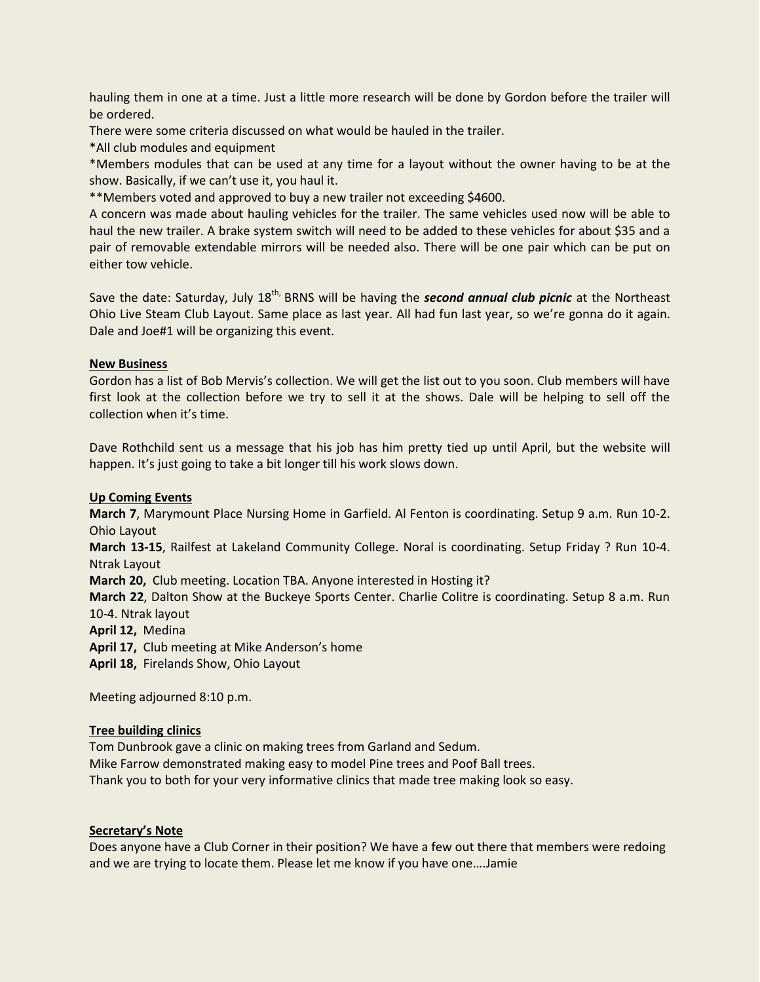hauling them in one at a time. Just a little more research will be done by Gordon before the trailer will be ordered.

There were some criteria discussed on what would be hauled in the trailer.

\*All club modules and equipment

\*Members modules that can be used at any time for a layout without the owner having to be at the show. Basically, if we can't use it, you haul it.

\*\*Members voted and approved to buy a new trailer not exceeding \$4600.

A concern was made about hauling vehicles for the trailer. The same vehicles used now will be able to haul the new trailer. A brake system switch will need to be added to these vehicles for about \$35 and a pair of removable extendable mirrors will be needed also. There will be one pair which can be put on either tow vehicle.

Save the date: Saturday, July 18<sup>th,</sup> BRNS will be having the **second annual club picnic** at the Northeast Ohio Live Steam Club Layout. Same place as last year. All had fun last year, so we're gonna do it again. Dale and Joe#1 will be organizing this event.

### **New Business**

Gordon has a list of Bob Mervis's collection. We will get the list out to you soon. Club members will have first look at the collection before we try to sell it at the shows. Dale will be helping to sell off the collection when it's time.

Dave Rothchild sent us a message that his job has him pretty tied up until April, but the website will happen. It's just going to take a bit longer till his work slows down.

## **Up Coming Events**

**March 7**, Marymount Place Nursing Home in Garfield. Al Fenton is coordinating. Setup 9 a.m. Run 10-2. Ohio Layout

**March 13-15**, Railfest at Lakeland Community College. Noral is coordinating. Setup Friday ? Run 10-4. Ntrak Layout

**March 20,** Club meeting. Location TBA. Anyone interested in Hosting it?

**March 22**, Dalton Show at the Buckeye Sports Center. Charlie Colitre is coordinating. Setup 8 a.m. Run 10-4. Ntrak layout

**April 12,** Medina

**April 17,** Club meeting at Mike Anderson's home

**April 18,** Firelands Show, Ohio Layout

Meeting adjourned 8:10 p.m.

#### **Tree building clinics**

Tom Dunbrook gave a clinic on making trees from Garland and Sedum. Mike Farrow demonstrated making easy to model Pine trees and Poof Ball trees. Thank you to both for your very informative clinics that made tree making look so easy.

#### **Secretary's Note**

Does anyone have a Club Corner in their position? We have a few out there that members were redoing and we are trying to locate them. Please let me know if you have one….Jamie